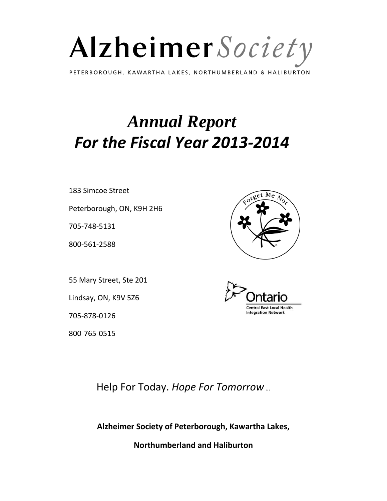

PETERBOROUGH, KAWARTHA LAKES, NORTHUMBERLAND & HALIBURTON

# *Annual Report For the Fiscal Year 2013-2014*

183 Simcoe Street

Peterborough, ON, K9H 2H6

705-748-5131

800-561-2588

55 Mary Street, Ste 201

Lindsay, ON, K9V 5Z6

705-878-0126

800-765-0515





Help For Today. *Hope For Tomorrow…*

**Alzheimer Society of Peterborough, Kawartha Lakes,**

**Northumberland and Haliburton**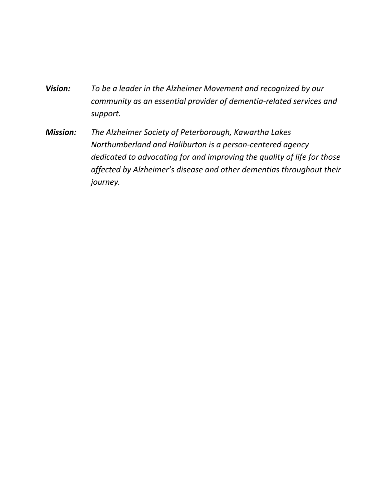- *Vision: To be a leader in the Alzheimer Movement and recognized by our community as an essential provider of dementia-related services and support.*
- *Mission: The Alzheimer Society of Peterborough, Kawartha Lakes Northumberland and Haliburton is a person-centered agency dedicated to advocating for and improving the quality of life for those affected by Alzheimer's disease and other dementias throughout their journey.*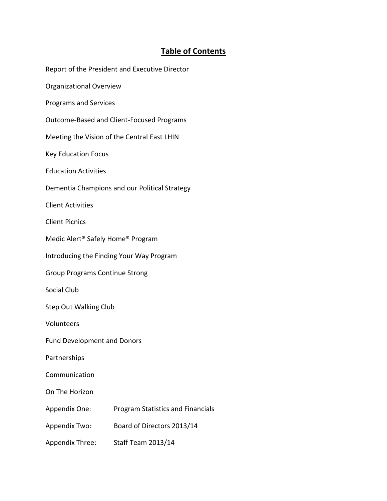# **Table of Contents**

|                                          | Report of the President and Executive Director |
|------------------------------------------|------------------------------------------------|
| Organizational Overview                  |                                                |
| <b>Programs and Services</b>             |                                                |
|                                          | Outcome-Based and Client-Focused Programs      |
|                                          | Meeting the Vision of the Central East LHIN    |
| <b>Key Education Focus</b>               |                                                |
| <b>Education Activities</b>              |                                                |
|                                          | Dementia Champions and our Political Strategy  |
| <b>Client Activities</b>                 |                                                |
| <b>Client Picnics</b>                    |                                                |
| Medic Alert® Safely Home® Program        |                                                |
| Introducing the Finding Your Way Program |                                                |
| <b>Group Programs Continue Strong</b>    |                                                |
| Social Club                              |                                                |
| <b>Step Out Walking Club</b>             |                                                |
| Volunteers                               |                                                |
| <b>Fund Development and Donors</b>       |                                                |
| Partnerships                             |                                                |
| Communication                            |                                                |
| On The Horizon                           |                                                |
| Appendix One:                            | Program Statistics and Financials              |
| Appendix Two:                            | Board of Directors 2013/14                     |
| Appendix Three:                          | <b>Staff Team 2013/14</b>                      |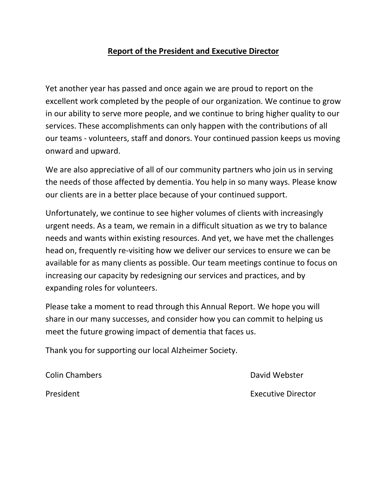#### **Report of the President and Executive Director**

Yet another year has passed and once again we are proud to report on the excellent work completed by the people of our organization. We continue to grow in our ability to serve more people, and we continue to bring higher quality to our services. These accomplishments can only happen with the contributions of all our teams - volunteers, staff and donors. Your continued passion keeps us moving onward and upward.

We are also appreciative of all of our community partners who join us in serving the needs of those affected by dementia. You help in so many ways. Please know our clients are in a better place because of your continued support.

Unfortunately, we continue to see higher volumes of clients with increasingly urgent needs. As a team, we remain in a difficult situation as we try to balance needs and wants within existing resources. And yet, we have met the challenges head on, frequently re-visiting how we deliver our services to ensure we can be available for as many clients as possible. Our team meetings continue to focus on increasing our capacity by redesigning our services and practices, and by expanding roles for volunteers.

Please take a moment to read through this Annual Report. We hope you will share in our many successes, and consider how you can commit to helping us meet the future growing impact of dementia that faces us.

Thank you for supporting our local Alzheimer Society.

**Colin Chambers Colin Chambers** David Webster

President **Executive Director**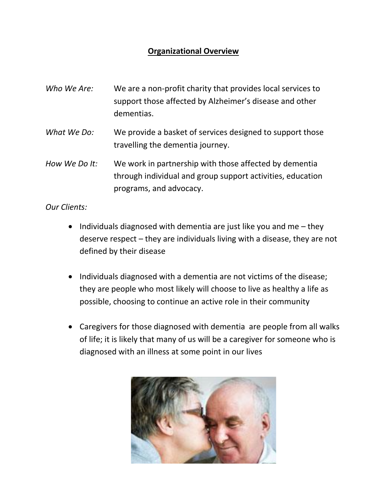## **Organizational Overview**

- *Who We Are:* We are a non-profit charity that provides local services to support those affected by Alzheimer's disease and other dementias.
- *What We Do:* We provide a basket of services designed to support those travelling the dementia journey.
- *How We Do It:* We work in partnership with those affected by dementia through individual and group support activities, education programs, and advocacy.

*Our Clients:*

- $\bullet$  Individuals diagnosed with dementia are just like you and me they deserve respect – they are individuals living with a disease, they are not defined by their disease
- Individuals diagnosed with a dementia are not victims of the disease; they are people who most likely will choose to live as healthy a life as possible, choosing to continue an active role in their community
- Caregivers for those diagnosed with dementia are people from all walks of life; it is likely that many of us will be a caregiver for someone who is diagnosed with an illness at some point in our lives

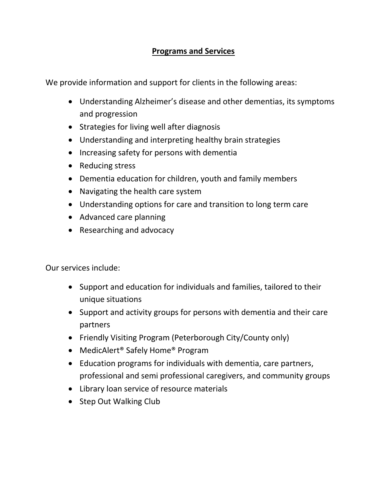#### **Programs and Services**

We provide information and support for clients in the following areas:

- Understanding Alzheimer's disease and other dementias, its symptoms and progression
- Strategies for living well after diagnosis
- Understanding and interpreting healthy brain strategies
- Increasing safety for persons with dementia
- Reducing stress
- Dementia education for children, youth and family members
- Navigating the health care system
- Understanding options for care and transition to long term care
- Advanced care planning
- Researching and advocacy

Our services include:

- Support and education for individuals and families, tailored to their unique situations
- Support and activity groups for persons with dementia and their care partners
- Friendly Visiting Program (Peterborough City/County only)
- MedicAlert<sup>®</sup> Safely Home<sup>®</sup> Program
- Education programs for individuals with dementia, care partners, professional and semi professional caregivers, and community groups
- Library loan service of resource materials
- Step Out Walking Club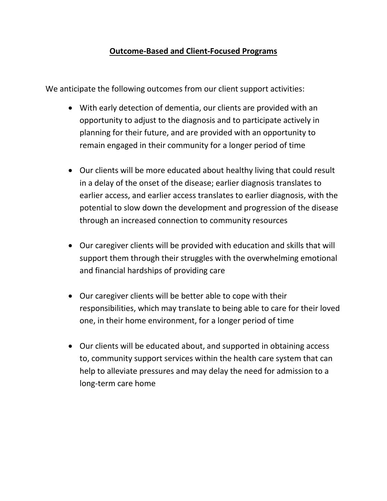#### **Outcome-Based and Client-Focused Programs**

We anticipate the following outcomes from our client support activities:

- With early detection of dementia, our clients are provided with an opportunity to adjust to the diagnosis and to participate actively in planning for their future, and are provided with an opportunity to remain engaged in their community for a longer period of time
- Our clients will be more educated about healthy living that could result in a delay of the onset of the disease; earlier diagnosis translates to earlier access, and earlier access translates to earlier diagnosis, with the potential to slow down the development and progression of the disease through an increased connection to community resources
- Our caregiver clients will be provided with education and skills that will support them through their struggles with the overwhelming emotional and financial hardships of providing care
- Our caregiver clients will be better able to cope with their responsibilities, which may translate to being able to care for their loved one, in their home environment, for a longer period of time
- Our clients will be educated about, and supported in obtaining access to, community support services within the health care system that can help to alleviate pressures and may delay the need for admission to a long-term care home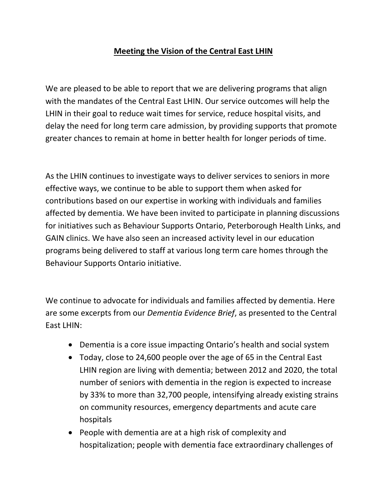#### **Meeting the Vision of the Central East LHIN**

We are pleased to be able to report that we are delivering programs that align with the mandates of the Central East LHIN. Our service outcomes will help the LHIN in their goal to reduce wait times for service, reduce hospital visits, and delay the need for long term care admission, by providing supports that promote greater chances to remain at home in better health for longer periods of time.

As the LHIN continues to investigate ways to deliver services to seniors in more effective ways, we continue to be able to support them when asked for contributions based on our expertise in working with individuals and families affected by dementia. We have been invited to participate in planning discussions for initiatives such as Behaviour Supports Ontario, Peterborough Health Links, and GAIN clinics. We have also seen an increased activity level in our education programs being delivered to staff at various long term care homes through the Behaviour Supports Ontario initiative.

We continue to advocate for individuals and families affected by dementia. Here are some excerpts from our *Dementia Evidence Brief*, as presented to the Central East LHIN:

- Dementia is a core issue impacting Ontario's health and social system
- Today, close to 24,600 people over the age of 65 in the Central East LHIN region are living with dementia; between 2012 and 2020, the total number of seniors with dementia in the region is expected to increase by 33% to more than 32,700 people, intensifying already existing strains on community resources, emergency departments and acute care hospitals
- People with dementia are at a high risk of complexity and hospitalization; people with dementia face extraordinary challenges of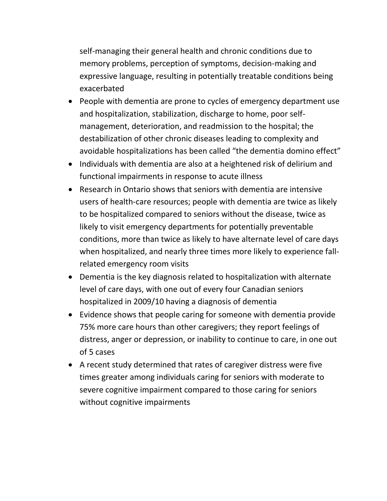self-managing their general health and chronic conditions due to memory problems, perception of symptoms, decision-making and expressive language, resulting in potentially treatable conditions being exacerbated

- People with dementia are prone to cycles of emergency department use and hospitalization, stabilization, discharge to home, poor selfmanagement, deterioration, and readmission to the hospital; the destabilization of other chronic diseases leading to complexity and avoidable hospitalizations has been called "the dementia domino effect"
- Individuals with dementia are also at a heightened risk of delirium and functional impairments in response to acute illness
- Research in Ontario shows that seniors with dementia are intensive users of health-care resources; people with dementia are twice as likely to be hospitalized compared to seniors without the disease, twice as likely to visit emergency departments for potentially preventable conditions, more than twice as likely to have alternate level of care days when hospitalized, and nearly three times more likely to experience fallrelated emergency room visits
- Dementia is the key diagnosis related to hospitalization with alternate level of care days, with one out of every four Canadian seniors hospitalized in 2009/10 having a diagnosis of dementia
- Evidence shows that people caring for someone with dementia provide 75% more care hours than other caregivers; they report feelings of distress, anger or depression, or inability to continue to care, in one out of 5 cases
- A recent study determined that rates of caregiver distress were five times greater among individuals caring for seniors with moderate to severe cognitive impairment compared to those caring for seniors without cognitive impairments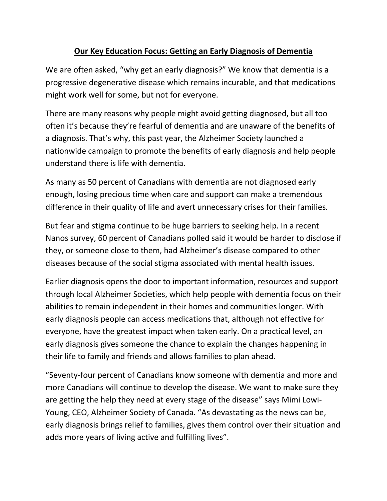## **Our Key Education Focus: Getting an Early Diagnosis of Dementia**

We are often asked, "why get an early diagnosis?" We know that dementia is a progressive degenerative disease which remains incurable, and that medications might work well for some, but not for everyone.

There are many reasons why people might avoid getting diagnosed, but all too often it's because they're fearful of dementia and are unaware of the benefits of a diagnosis. That's why, this past year, the Alzheimer Society launched a nationwide campaign to promote the benefits of early diagnosis and help people understand there is life with dementia.

As many as 50 percent of Canadians with dementia are not diagnosed early enough, losing precious time when care and support can make a tremendous difference in their quality of life and avert unnecessary crises for their families.

But fear and stigma continue to be huge barriers to seeking help. In a recent Nanos survey, 60 percent of Canadians polled said it would be harder to disclose if they, or someone close to them, had Alzheimer's disease compared to other diseases because of the social stigma associated with mental health issues.

Earlier diagnosis opens the door to important information, resources and support through local Alzheimer Societies, which help people with dementia focus on their abilities to remain independent in their homes and communities longer. With early diagnosis people can access medications that, although not effective for everyone, have the greatest impact when taken early. On a practical level, an early diagnosis gives someone the chance to explain the changes happening in their life to family and friends and allows families to plan ahead.

"Seventy-four percent of Canadians know someone with dementia and more and more Canadians will continue to develop the disease. We want to make sure they are getting the help they need at every stage of the disease" says Mimi Lowi-Young, CEO, Alzheimer Society of Canada. "As devastating as the news can be, early diagnosis brings relief to families, gives them control over their situation and adds more years of living active and fulfilling lives".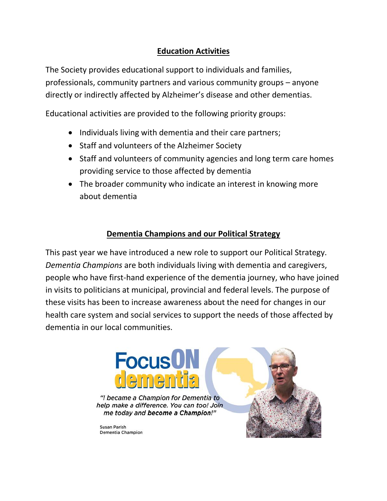## **Education Activities**

The Society provides educational support to individuals and families, professionals, community partners and various community groups – anyone directly or indirectly affected by Alzheimer's disease and other dementias.

Educational activities are provided to the following priority groups:

- Individuals living with dementia and their care partners;
- Staff and volunteers of the Alzheimer Society
- Staff and volunteers of community agencies and long term care homes providing service to those affected by dementia
- The broader community who indicate an interest in knowing more about dementia

#### **Dementia Champions and our Political Strategy**

This past year we have introduced a new role to support our Political Strategy. *Dementia Champions* are both individuals living with dementia and caregivers, people who have first-hand experience of the dementia journey, who have joined in visits to politicians at municipal, provincial and federal levels. The purpose of these visits has been to increase awareness about the need for changes in our health care system and social services to support the needs of those affected by dementia in our local communities.





"I became a Champion for Dementia to help make a difference. You can too! Join me today and become a Champion!"

Susan Parish Dementia Champion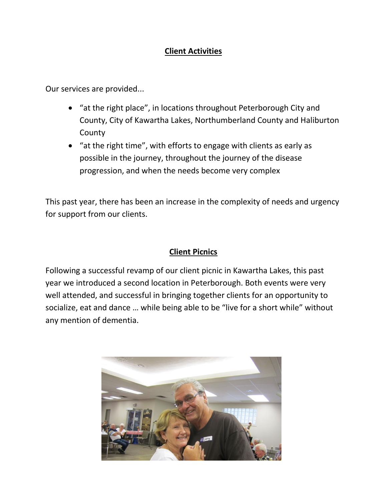## **Client Activities**

Our services are provided...

- "at the right place", in locations throughout Peterborough City and County, City of Kawartha Lakes, Northumberland County and Haliburton **County**
- "at the right time", with efforts to engage with clients as early as possible in the journey, throughout the journey of the disease progression, and when the needs become very complex

This past year, there has been an increase in the complexity of needs and urgency for support from our clients.

#### **Client Picnics**

Following a successful revamp of our client picnic in Kawartha Lakes, this past year we introduced a second location in Peterborough. Both events were very well attended, and successful in bringing together clients for an opportunity to socialize, eat and dance … while being able to be "live for a short while" without any mention of dementia.

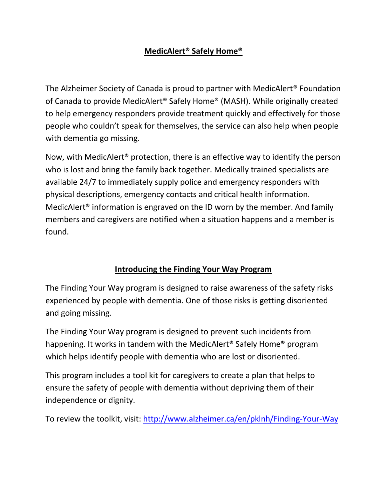## **MedicAlert® Safely Home®**

The Alzheimer Society of Canada is proud to partner with MedicAlert® Foundation of Canada to provide MedicAlert® Safely Home® (MASH). While originally created to help emergency responders provide treatment quickly and effectively for those people who couldn't speak for themselves, the service can also help when people with dementia go missing.

Now, with MedicAlert® protection, there is an effective way to identify the person who is lost and bring the family back together. Medically trained specialists are available 24/7 to immediately supply police and emergency responders with physical descriptions, emergency contacts and critical health information. MedicAlert® information is engraved on the ID worn by the member. And family members and caregivers are notified when a situation happens and a member is found.

## **Introducing the Finding Your Way Program**

The Finding Your Way program is designed to raise awareness of the safety risks experienced by people with dementia. One of those risks is getting disoriented and going missing.

The Finding Your Way program is designed to prevent such incidents from happening. It works in tandem with the MedicAlert® Safely Home® program which helps identify people with dementia who are lost or disoriented.

This program includes a tool kit for caregivers to create a plan that helps to ensure the safety of people with dementia without depriving them of their independence or dignity.

To review the toolkit, visit:<http://www.alzheimer.ca/en/pklnh/Finding-Your-Way>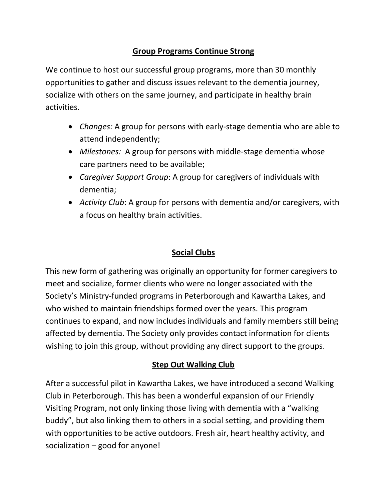## **Group Programs Continue Strong**

We continue to host our successful group programs, more than 30 monthly opportunities to gather and discuss issues relevant to the dementia journey, socialize with others on the same journey, and participate in healthy brain activities.

- *Changes:* A group for persons with early-stage dementia who are able to attend independently;
- *Milestones:* A group for persons with middle-stage dementia whose care partners need to be available;
- *Caregiver Support Group*: A group for caregivers of individuals with dementia;
- *Activity Club*: A group for persons with dementia and/or caregivers, with a focus on healthy brain activities.

## **Social Clubs**

This new form of gathering was originally an opportunity for former caregivers to meet and socialize, former clients who were no longer associated with the Society's Ministry-funded programs in Peterborough and Kawartha Lakes, and who wished to maintain friendships formed over the years. This program continues to expand, and now includes individuals and family members still being affected by dementia. The Society only provides contact information for clients wishing to join this group, without providing any direct support to the groups.

#### **Step Out Walking Club**

After a successful pilot in Kawartha Lakes, we have introduced a second Walking Club in Peterborough. This has been a wonderful expansion of our Friendly Visiting Program, not only linking those living with dementia with a "walking buddy", but also linking them to others in a social setting, and providing them with opportunities to be active outdoors. Fresh air, heart healthy activity, and socialization – good for anyone!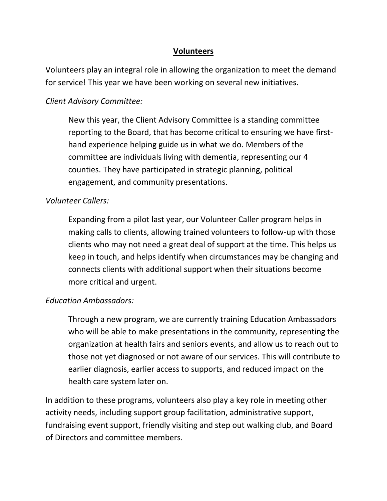#### **Volunteers**

Volunteers play an integral role in allowing the organization to meet the demand for service! This year we have been working on several new initiatives.

#### *Client Advisory Committee:*

New this year, the Client Advisory Committee is a standing committee reporting to the Board, that has become critical to ensuring we have firsthand experience helping guide us in what we do. Members of the committee are individuals living with dementia, representing our 4 counties. They have participated in strategic planning, political engagement, and community presentations.

#### *Volunteer Callers:*

Expanding from a pilot last year, our Volunteer Caller program helps in making calls to clients, allowing trained volunteers to follow-up with those clients who may not need a great deal of support at the time. This helps us keep in touch, and helps identify when circumstances may be changing and connects clients with additional support when their situations become more critical and urgent.

#### *Education Ambassadors:*

Through a new program, we are currently training Education Ambassadors who will be able to make presentations in the community, representing the organization at health fairs and seniors events, and allow us to reach out to those not yet diagnosed or not aware of our services. This will contribute to earlier diagnosis, earlier access to supports, and reduced impact on the health care system later on.

In addition to these programs, volunteers also play a key role in meeting other activity needs, including support group facilitation, administrative support, fundraising event support, friendly visiting and step out walking club, and Board of Directors and committee members.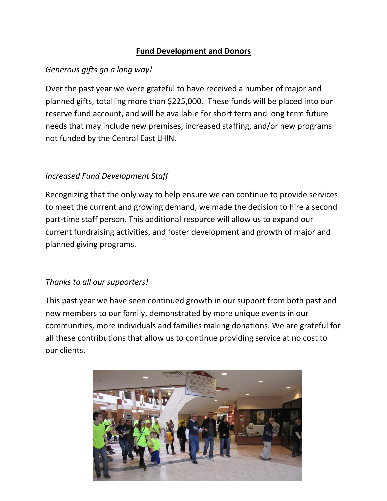#### **Fund Development and Donors**

#### *Generous gifts go a long way!*

Over the past year we were grateful to have received a number of major and planned gifts, totalling more than \$225,000. These funds will be placed into our reserve fund account, and will be available for short term and long term future needs that may include new premises, increased staffing, and/or new programs not funded by the Central East LHIN.

#### *Increased Fund Development Staff*

Recognizing that the only way to help ensure we can continue to provide services to meet the current and growing demand, we made the decision to hire a second part-time staff person. This additional resource will allow us to expand our current fundraising activities, and foster development and growth of major and planned giving programs.

#### *Thanks to all our supporters!*

This past year we have seen continued growth in our support from both past and new members to our family, demonstrated by more unique events in our communities, more individuals and families making donations. We are grateful for all these contributions that allow us to continue providing service at no cost to our clients.

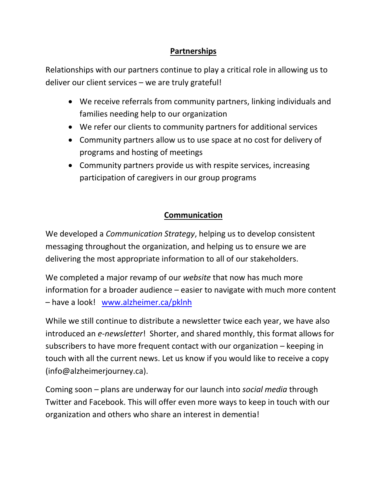## **Partnerships**

Relationships with our partners continue to play a critical role in allowing us to deliver our client services – we are truly grateful!

- We receive referrals from community partners, linking individuals and families needing help to our organization
- We refer our clients to community partners for additional services
- Community partners allow us to use space at no cost for delivery of programs and hosting of meetings
- Community partners provide us with respite services, increasing participation of caregivers in our group programs

#### **Communication**

We developed a *Communication Strategy*, helping us to develop consistent messaging throughout the organization, and helping us to ensure we are delivering the most appropriate information to all of our stakeholders.

We completed a major revamp of our *website* that now has much more information for a broader audience – easier to navigate with much more content – have a look! [www.alzheimer.ca/pklnh](http://www.alzheimer.ca/pklnh)

While we still continue to distribute a newsletter twice each year, we have also introduced an *e-newsletter*! Shorter, and shared monthly, this format allows for subscribers to have more frequent contact with our organization – keeping in touch with all the current news. Let us know if you would like to receive a copy (info@alzheimerjourney.ca).

Coming soon – plans are underway for our launch into *social media* through Twitter and Facebook. This will offer even more ways to keep in touch with our organization and others who share an interest in dementia!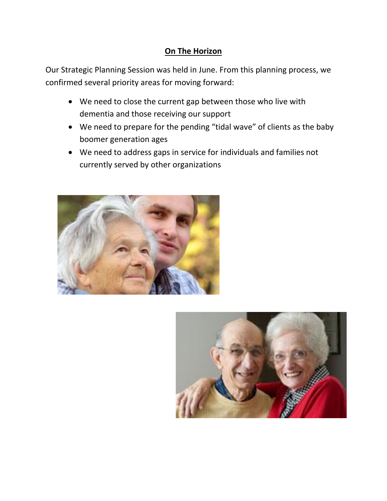## **On The Horizon**

Our Strategic Planning Session was held in June. From this planning process, we confirmed several priority areas for moving forward:

- We need to close the current gap between those who live with dementia and those receiving our support
- We need to prepare for the pending "tidal wave" of clients as the baby boomer generation ages
- We need to address gaps in service for individuals and families not currently served by other organizations



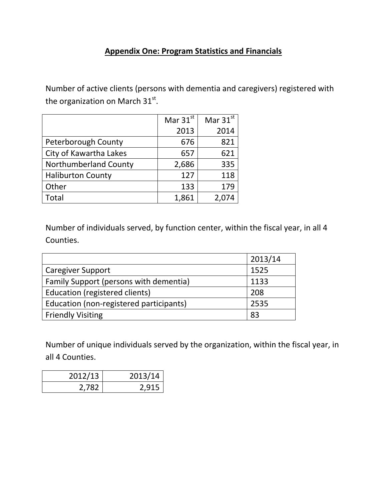#### **Appendix One: Program Statistics and Financials**

Number of active clients (persons with dementia and caregivers) registered with the organization on March 31 $^{\rm st}$ .

|                          | Mar $31st$ | Mar $31^{st}$ |
|--------------------------|------------|---------------|
|                          | 2013       | 2014          |
| Peterborough County      | 676        | 821           |
| City of Kawartha Lakes   | 657        | 621           |
| Northumberland County    | 2,686      | 335           |
| <b>Haliburton County</b> | 127        | 118           |
| Other                    | 133        | 179           |
| Total                    | 1,861      |               |

Number of individuals served, by function center, within the fiscal year, in all 4 Counties.

|                                         | 2013/14 |
|-----------------------------------------|---------|
| <b>Caregiver Support</b>                | 1525    |
| Family Support (persons with dementia)  | 1133    |
| Education (registered clients)          | 208     |
| Education (non-registered participants) | 2535    |
| <b>Friendly Visiting</b>                | 83      |

Number of unique individuals served by the organization, within the fiscal year, in all 4 Counties.

| 2012/13 | 2013/14 |
|---------|---------|
| 2,782   | 2,915   |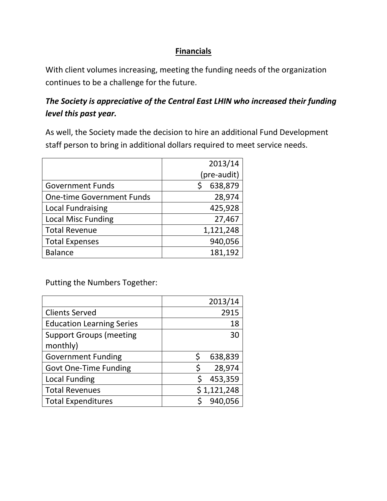#### **Financials**

With client volumes increasing, meeting the funding needs of the organization continues to be a challenge for the future.

## *The Society is appreciative of the Central East LHIN who increased their funding level this past year.*

As well, the Society made the decision to hire an additional Fund Development staff person to bring in additional dollars required to meet service needs.

|                                  | 2013/14     |
|----------------------------------|-------------|
|                                  | (pre-audit) |
| <b>Government Funds</b>          | 638,879     |
| <b>One-time Government Funds</b> | 28,974      |
| <b>Local Fundraising</b>         | 425,928     |
| <b>Local Misc Funding</b>        | 27,467      |
| <b>Total Revenue</b>             | 1,121,248   |
| <b>Total Expenses</b>            | 940,056     |
| <b>Balance</b>                   | 181,192     |

Putting the Numbers Together:

|                                  | 2013/14     |
|----------------------------------|-------------|
| <b>Clients Served</b>            | 2915        |
| <b>Education Learning Series</b> | 18          |
| <b>Support Groups (meeting</b>   | 30          |
| monthly)                         |             |
| <b>Government Funding</b>        | 638,839     |
| <b>Govt One-Time Funding</b>     | 28,974<br>Ś |
| <b>Local Funding</b>             | 453,359     |
| <b>Total Revenues</b>            | \$1,121,248 |
| <b>Total Expenditures</b>        | 940,056     |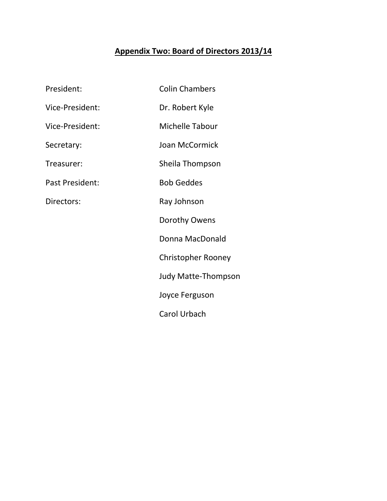# **Appendix Two: Board of Directors 2013/14**

| President:      | <b>Colin Chambers</b>      |
|-----------------|----------------------------|
| Vice-President: | Dr. Robert Kyle            |
| Vice-President: | Michelle Tabour            |
| Secretary:      | Joan McCormick             |
| Treasurer:      | Sheila Thompson            |
| Past President: | <b>Bob Geddes</b>          |
| Directors:      | Ray Johnson                |
|                 | Dorothy Owens              |
|                 | Donna MacDonald            |
|                 | <b>Christopher Rooney</b>  |
|                 | <b>Judy Matte-Thompson</b> |
|                 | Joyce Ferguson             |
|                 | Carol Urbach               |
|                 |                            |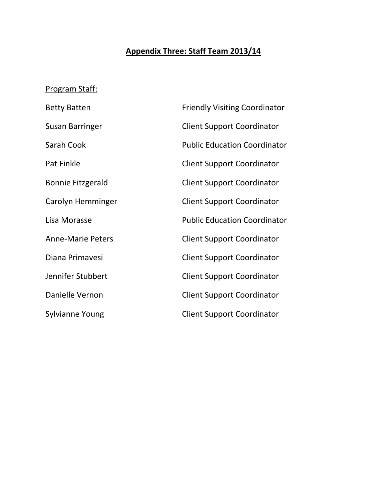# **Appendix Three: Staff Team 2013/14**

# Program Staff:

| <b>Betty Batten</b>      | <b>Friendly Visiting Coordinator</b> |
|--------------------------|--------------------------------------|
| <b>Susan Barringer</b>   | <b>Client Support Coordinator</b>    |
| Sarah Cook               | <b>Public Education Coordinator</b>  |
| Pat Finkle               | <b>Client Support Coordinator</b>    |
| Bonnie Fitzgerald        | <b>Client Support Coordinator</b>    |
| Carolyn Hemminger        | <b>Client Support Coordinator</b>    |
| Lisa Morasse             | <b>Public Education Coordinator</b>  |
| <b>Anne-Marie Peters</b> | <b>Client Support Coordinator</b>    |
| Diana Primavesi          | <b>Client Support Coordinator</b>    |
| Jennifer Stubbert        | <b>Client Support Coordinator</b>    |
| Danielle Vernon          | <b>Client Support Coordinator</b>    |
| <b>Sylvianne Young</b>   | <b>Client Support Coordinator</b>    |